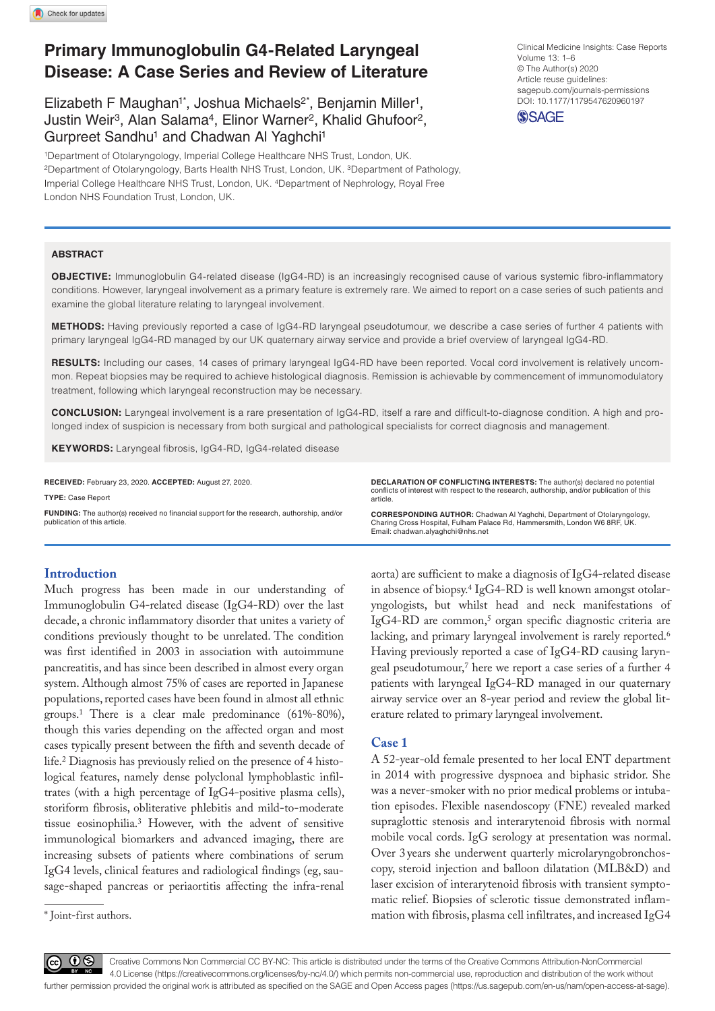# **Primary Immunoglobulin G4-Related Laryngeal Disease: A Case Series and Review of Literature**

Elizabeth F Maughan<sup>1\*</sup>, Joshua Michaels<sup>2\*</sup>, Benjamin Miller<sup>1</sup>, Justin Weir<sup>3</sup>, Alan Salama<sup>4</sup>, Elinor Warner<sup>2</sup>, Khalid Ghufoor<sup>2</sup>, Gurpreet Sandhu<sup>1</sup> and Chadwan Al Yaghchi<sup>1</sup>

1Department of Otolaryngology, Imperial College Healthcare NHS Trust, London, UK. 2Department of Otolaryngology, Barts Health NHS Trust, London, UK. 3Department of Pathology, Imperial College Healthcare NHS Trust, London, UK. 4Department of Nephrology, Royal Free London NHS Foundation Trust, London, UK.

DOI: 10.1177/1179547620960197 Clinical Medicine Insights: Case Reports Volume 13: 1–6 © The Author(s) 2020 Article reuse guidelines: [sagepub.com/journals-permissions](https://uk.sagepub.com/en-gb/journals-permissions)



#### **ABSTRACT**

**OBJECTIVE:** Immunoglobulin G4-related disease (IgG4-RD) is an increasingly recognised cause of various systemic fibro-inflammatory conditions. However, laryngeal involvement as a primary feature is extremely rare. We aimed to report on a case series of such patients and examine the global literature relating to laryngeal involvement.

**Methods:** Having previously reported a case of IgG4-RD laryngeal pseudotumour, we describe a case series of further 4 patients with primary laryngeal IgG4-RD managed by our UK quaternary airway service and provide a brief overview of laryngeal IgG4-RD.

RESULTS: Including our cases, 14 cases of primary laryngeal IgG4-RD have been reported. Vocal cord involvement is relatively uncommon. Repeat biopsies may be required to achieve histological diagnosis. Remission is achievable by commencement of immunomodulatory treatment, following which laryngeal reconstruction may be necessary.

**Conclusion:** Laryngeal involvement is a rare presentation of IgG4-RD, itself a rare and difficult-to-diagnose condition. A high and prolonged index of suspicion is necessary from both surgical and pathological specialists for correct diagnosis and management.

**Keywords:** Laryngeal fibrosis, IgG4-RD, IgG4-related disease

**RECEIVED:** February 23, 2020. **ACCEPTED:** August 27, 2020.

**Type:** Case Report **Funding:** The author(s) received no financial support for the research, authorship, and/or publication of this article.

**DECLARATION OF CONFLICTING INTERESTS:** The author(s) declared no potential conflicts of interest with respect to the research, authorship, and/or publication of this article.

**CORRESPONDING AUTHOR:** Chadwan Al Yaghchi, Department of Otolaryngology, Charing Cross Hospital, Fulham Palace Rd, Hammersmith, London W6 8RF, UK. Email: [chadwan.alyaghchi@nhs.net](mailto:chadwan.alyaghchi@nhs.net)

### **Introduction**

Much progress has been made in our understanding of Immunoglobulin G4-related disease (IgG4-RD) over the last decade, a chronic inflammatory disorder that unites a variety of conditions previously thought to be unrelated. The condition was first identified in 2003 in association with autoimmune pancreatitis, and has since been described in almost every organ system. Although almost 75% of cases are reported in Japanese populations, reported cases have been found in almost all ethnic groups.1 There is a clear male predominance (61%-80%), though this varies depending on the affected organ and most cases typically present between the fifth and seventh decade of life.2 Diagnosis has previously relied on the presence of 4 histological features, namely dense polyclonal lymphoblastic infiltrates (with a high percentage of IgG4-positive plasma cells), storiform fibrosis, obliterative phlebitis and mild-to-moderate tissue eosinophilia.3 However, with the advent of sensitive immunological biomarkers and advanced imaging, there are increasing subsets of patients where combinations of serum IgG4 levels, clinical features and radiological findings (eg, sausage-shaped pancreas or periaortitis affecting the infra-renal

\* Joint-first authors.

aorta) are sufficient to make a diagnosis of IgG4-related disease in absence of biopsy.4 IgG4-RD is well known amongst otolaryngologists, but whilst head and neck manifestations of IgG4-RD are common,<sup>5</sup> organ specific diagnostic criteria are lacking, and primary laryngeal involvement is rarely reported.<sup>6</sup> Having previously reported a case of IgG4-RD causing laryngeal pseudotumour,7 here we report a case series of a further 4 patients with laryngeal IgG4-RD managed in our quaternary airway service over an 8-year period and review the global literature related to primary laryngeal involvement.

#### **Case 1**

A 52-year-old female presented to her local ENT department in 2014 with progressive dyspnoea and biphasic stridor. She was a never-smoker with no prior medical problems or intubation episodes. Flexible nasendoscopy (FNE) revealed marked supraglottic stenosis and interarytenoid fibrosis with normal mobile vocal cords. IgG serology at presentation was normal. Over 3years she underwent quarterly microlaryngobronchoscopy, steroid injection and balloon dilatation (MLB&D) and laser excision of interarytenoid fibrosis with transient symptomatic relief. Biopsies of sclerotic tissue demonstrated inflammation with fibrosis, plasma cell infiltrates, and increased IgG4

66 G

Creative Commons Non Commercial CC BY-NC: This article is distributed under the terms of the Creative Commons Attribution-NonCommercial  $BY$ 4.0 License (https://creativecommons.org/licenses/by-nc/4.0/) which permits non-commercial use, reproduction and distribution of the work without further permission provided the original work is attributed as specified on the SAGE and Open Access pages (https://us.sagepub.com/en-us/nam/open-access-at-sage).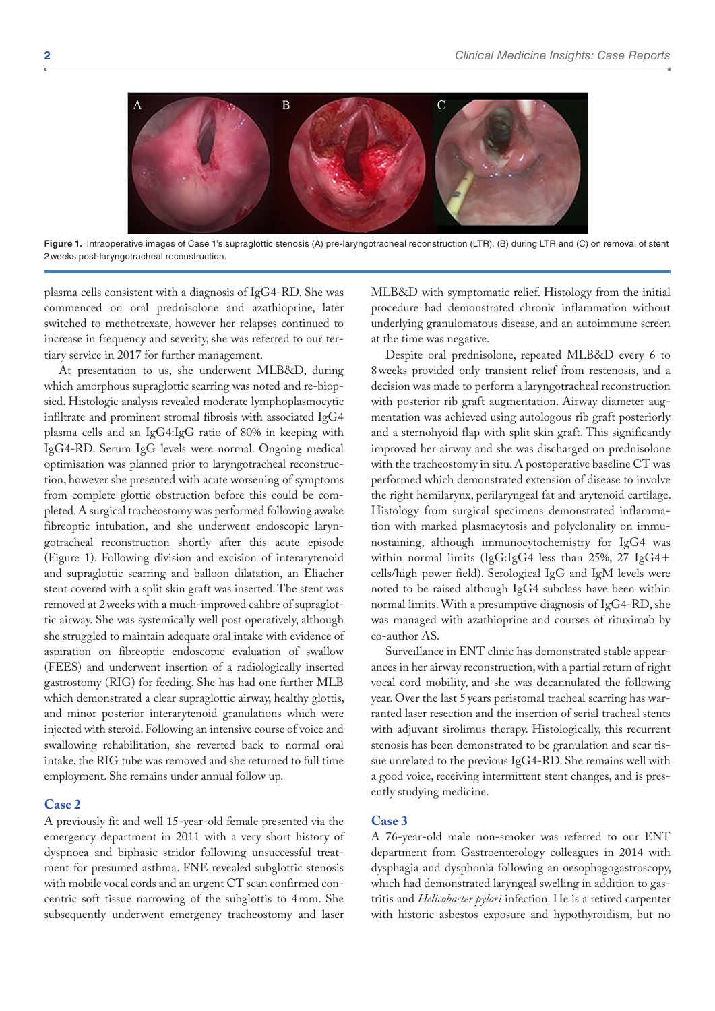

Figure 1. Intraoperative images of Case 1's supraglottic stenosis (A) pre-laryngotracheal reconstruction (LTR), (B) during LTR and (C) on removal of stent 2weeks post-laryngotracheal reconstruction.

plasma cells consistent with a diagnosis of IgG4-RD. She was commenced on oral prednisolone and azathioprine, later switched to methotrexate, however her relapses continued to increase in frequency and severity, she was referred to our tertiary service in 2017 for further management.

At presentation to us, she underwent MLB&D, during which amorphous supraglottic scarring was noted and re-biopsied. Histologic analysis revealed moderate lymphoplasmocytic infiltrate and prominent stromal fibrosis with associated IgG4 plasma cells and an IgG4:IgG ratio of 80% in keeping with IgG4-RD. Serum IgG levels were normal. Ongoing medical optimisation was planned prior to laryngotracheal reconstruction, however she presented with acute worsening of symptoms from complete glottic obstruction before this could be completed. A surgical tracheostomy was performed following awake fibreoptic intubation, and she underwent endoscopic laryngotracheal reconstruction shortly after this acute episode (Figure 1). Following division and excision of interarytenoid and supraglottic scarring and balloon dilatation, an Eliacher stent covered with a split skin graft was inserted. The stent was removed at 2weeks with a much-improved calibre of supraglottic airway. She was systemically well post operatively, although she struggled to maintain adequate oral intake with evidence of aspiration on fibreoptic endoscopic evaluation of swallow (FEES) and underwent insertion of a radiologically inserted gastrostomy (RIG) for feeding. She has had one further MLB which demonstrated a clear supraglottic airway, healthy glottis, and minor posterior interarytenoid granulations which were injected with steroid. Following an intensive course of voice and swallowing rehabilitation, she reverted back to normal oral intake, the RIG tube was removed and she returned to full time employment. She remains under annual follow up.

#### **Case 2**

A previously fit and well 15-year-old female presented via the emergency department in 2011 with a very short history of dyspnoea and biphasic stridor following unsuccessful treatment for presumed asthma. FNE revealed subglottic stenosis with mobile vocal cords and an urgent CT scan confirmed concentric soft tissue narrowing of the subglottis to 4mm. She subsequently underwent emergency tracheostomy and laser

MLB&D with symptomatic relief. Histology from the initial procedure had demonstrated chronic inflammation without underlying granulomatous disease, and an autoimmune screen at the time was negative.

Despite oral prednisolone, repeated MLB&D every 6 to 8weeks provided only transient relief from restenosis, and a decision was made to perform a laryngotracheal reconstruction with posterior rib graft augmentation. Airway diameter augmentation was achieved using autologous rib graft posteriorly and a sternohyoid flap with split skin graft. This significantly improved her airway and she was discharged on prednisolone with the tracheostomy in situ. A postoperative baseline CT was performed which demonstrated extension of disease to involve the right hemilarynx, perilaryngeal fat and arytenoid cartilage. Histology from surgical specimens demonstrated inflammation with marked plasmacytosis and polyclonality on immunostaining, although immunocytochemistry for IgG4 was within normal limits (IgG:IgG4 less than 25%, 27 IgG4+ cells/high power field). Serological IgG and IgM levels were noted to be raised although IgG4 subclass have been within normal limits. With a presumptive diagnosis of IgG4-RD, she was managed with azathioprine and courses of rituximab by co-author AS.

Surveillance in ENT clinic has demonstrated stable appearances in her airway reconstruction, with a partial return of right vocal cord mobility, and she was decannulated the following year. Over the last 5years peristomal tracheal scarring has warranted laser resection and the insertion of serial tracheal stents with adjuvant sirolimus therapy. Histologically, this recurrent stenosis has been demonstrated to be granulation and scar tissue unrelated to the previous IgG4-RD. She remains well with a good voice, receiving intermittent stent changes, and is presently studying medicine.

# **Case 3**

A 76-year-old male non-smoker was referred to our ENT department from Gastroenterology colleagues in 2014 with dysphagia and dysphonia following an oesophagogastroscopy, which had demonstrated laryngeal swelling in addition to gastritis and *Helicobacter pylori* infection. He is a retired carpenter with historic asbestos exposure and hypothyroidism, but no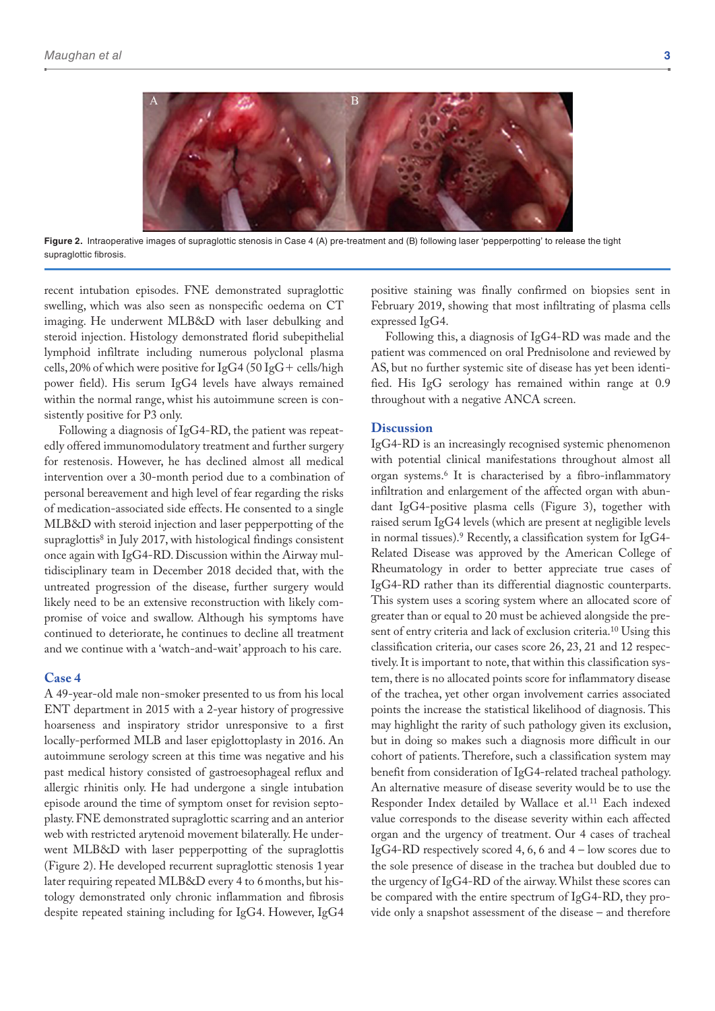

**Figure 2.** Intraoperative images of supraglottic stenosis in Case 4 (A) pre-treatment and (B) following laser 'pepperpotting' to release the tight supraglottic fibrosis.

recent intubation episodes. FNE demonstrated supraglottic swelling, which was also seen as nonspecific oedema on CT imaging. He underwent MLB&D with laser debulking and steroid injection. Histology demonstrated florid subepithelial lymphoid infiltrate including numerous polyclonal plasma cells, 20% of which were positive for IgG4 (50 IgG+ cells/high power field). His serum IgG4 levels have always remained within the normal range, whist his autoimmune screen is consistently positive for P3 only.

Following a diagnosis of IgG4-RD, the patient was repeatedly offered immunomodulatory treatment and further surgery for restenosis. However, he has declined almost all medical intervention over a 30-month period due to a combination of personal bereavement and high level of fear regarding the risks of medication-associated side effects. He consented to a single MLB&D with steroid injection and laser pepperpotting of the supraglottis<sup>8</sup> in July 2017, with histological findings consistent once again with IgG4-RD. Discussion within the Airway multidisciplinary team in December 2018 decided that, with the untreated progression of the disease, further surgery would likely need to be an extensive reconstruction with likely compromise of voice and swallow. Although his symptoms have continued to deteriorate, he continues to decline all treatment and we continue with a 'watch-and-wait' approach to his care.

#### **Case 4**

A 49-year-old male non-smoker presented to us from his local ENT department in 2015 with a 2-year history of progressive hoarseness and inspiratory stridor unresponsive to a first locally-performed MLB and laser epiglottoplasty in 2016. An autoimmune serology screen at this time was negative and his past medical history consisted of gastroesophageal reflux and allergic rhinitis only. He had undergone a single intubation episode around the time of symptom onset for revision septoplasty. FNE demonstrated supraglottic scarring and an anterior web with restricted arytenoid movement bilaterally. He underwent MLB&D with laser pepperpotting of the supraglottis (Figure 2). He developed recurrent supraglottic stenosis 1 year later requiring repeated MLB&D every 4 to 6 months, but histology demonstrated only chronic inflammation and fibrosis despite repeated staining including for IgG4. However, IgG4 positive staining was finally confirmed on biopsies sent in February 2019, showing that most infiltrating of plasma cells expressed IgG4.

Following this, a diagnosis of IgG4-RD was made and the patient was commenced on oral Prednisolone and reviewed by AS, but no further systemic site of disease has yet been identified. His IgG serology has remained within range at 0.9 throughout with a negative ANCA screen.

#### **Discussion**

IgG4-RD is an increasingly recognised systemic phenomenon with potential clinical manifestations throughout almost all organ systems.6 It is characterised by a fibro-inflammatory infiltration and enlargement of the affected organ with abundant IgG4-positive plasma cells (Figure 3), together with raised serum IgG4 levels (which are present at negligible levels in normal tissues).9 Recently, a classification system for IgG4- Related Disease was approved by the American College of Rheumatology in order to better appreciate true cases of IgG4-RD rather than its differential diagnostic counterparts. This system uses a scoring system where an allocated score of greater than or equal to 20 must be achieved alongside the present of entry criteria and lack of exclusion criteria.10 Using this classification criteria, our cases score 26, 23, 21 and 12 respectively. It is important to note, that within this classification system, there is no allocated points score for inflammatory disease of the trachea, yet other organ involvement carries associated points the increase the statistical likelihood of diagnosis. This may highlight the rarity of such pathology given its exclusion, but in doing so makes such a diagnosis more difficult in our cohort of patients. Therefore, such a classification system may benefit from consideration of IgG4-related tracheal pathology. An alternative measure of disease severity would be to use the Responder Index detailed by Wallace et al.<sup>11</sup> Each indexed value corresponds to the disease severity within each affected organ and the urgency of treatment. Our 4 cases of tracheal IgG4-RD respectively scored 4, 6, 6 and 4 – low scores due to the sole presence of disease in the trachea but doubled due to the urgency of IgG4-RD of the airway. Whilst these scores can be compared with the entire spectrum of IgG4-RD, they provide only a snapshot assessment of the disease – and therefore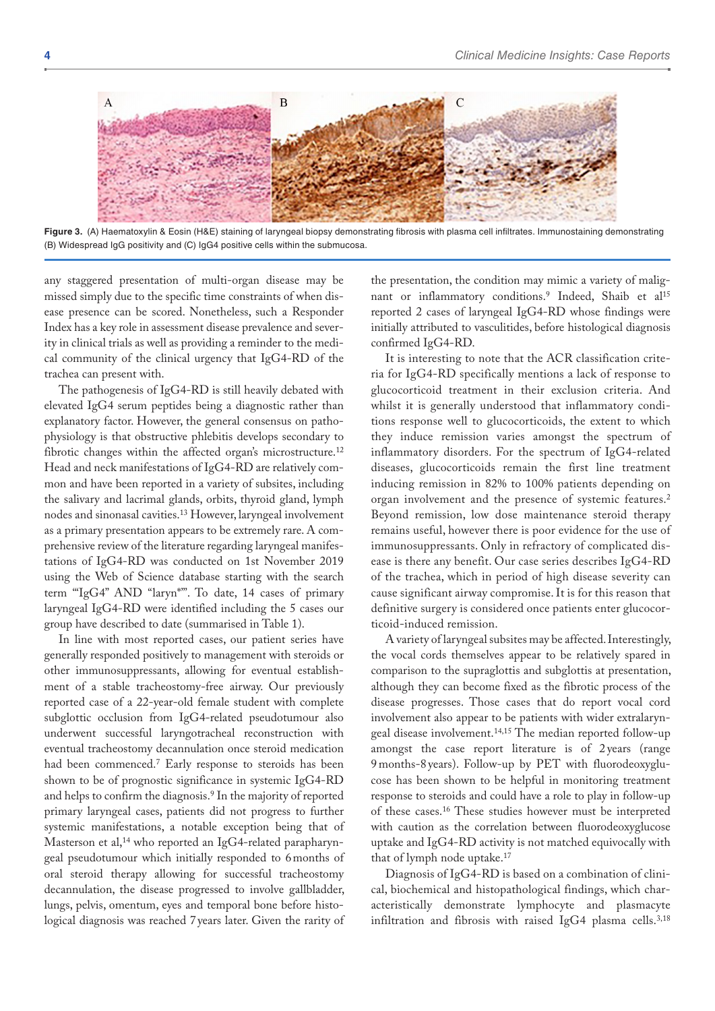

Figure 3. (A) Haematoxylin & Eosin (H&E) staining of laryngeal biopsy demonstrating fibrosis with plasma cell infiltrates. Immunostaining demonstrating (B) Widespread IgG positivity and (C) IgG4 positive cells within the submucosa.

any staggered presentation of multi-organ disease may be missed simply due to the specific time constraints of when disease presence can be scored. Nonetheless, such a Responder Index has a key role in assessment disease prevalence and severity in clinical trials as well as providing a reminder to the medical community of the clinical urgency that IgG4-RD of the trachea can present with.

The pathogenesis of IgG4-RD is still heavily debated with elevated IgG4 serum peptides being a diagnostic rather than explanatory factor. However, the general consensus on pathophysiology is that obstructive phlebitis develops secondary to fibrotic changes within the affected organ's microstructure.<sup>12</sup> Head and neck manifestations of IgG4-RD are relatively common and have been reported in a variety of subsites, including the salivary and lacrimal glands, orbits, thyroid gland, lymph nodes and sinonasal cavities.13 However, laryngeal involvement as a primary presentation appears to be extremely rare. A comprehensive review of the literature regarding laryngeal manifestations of IgG4-RD was conducted on 1st November 2019 using the Web of Science database starting with the search term '"IgG4" AND "laryn\*"'. To date, 14 cases of primary laryngeal IgG4-RD were identified including the 5 cases our group have described to date (summarised in Table 1).

In line with most reported cases, our patient series have generally responded positively to management with steroids or other immunosuppressants, allowing for eventual establishment of a stable tracheostomy-free airway. Our previously reported case of a 22-year-old female student with complete subglottic occlusion from IgG4-related pseudotumour also underwent successful laryngotracheal reconstruction with eventual tracheostomy decannulation once steroid medication had been commenced.7 Early response to steroids has been shown to be of prognostic significance in systemic IgG4-RD and helps to confirm the diagnosis.9 In the majority of reported primary laryngeal cases, patients did not progress to further systemic manifestations, a notable exception being that of Masterson et al,<sup>14</sup> who reported an IgG4-related parapharyngeal pseudotumour which initially responded to 6months of oral steroid therapy allowing for successful tracheostomy decannulation, the disease progressed to involve gallbladder, lungs, pelvis, omentum, eyes and temporal bone before histological diagnosis was reached 7years later. Given the rarity of

the presentation, the condition may mimic a variety of malignant or inflammatory conditions.<sup>9</sup> Indeed, Shaib et al<sup>15</sup> reported 2 cases of laryngeal IgG4-RD whose findings were initially attributed to vasculitides, before histological diagnosis confirmed IgG4-RD.

It is interesting to note that the ACR classification criteria for IgG4-RD specifically mentions a lack of response to glucocorticoid treatment in their exclusion criteria. And whilst it is generally understood that inflammatory conditions response well to glucocorticoids, the extent to which they induce remission varies amongst the spectrum of inflammatory disorders. For the spectrum of IgG4-related diseases, glucocorticoids remain the first line treatment inducing remission in 82% to 100% patients depending on organ involvement and the presence of systemic features.2 Beyond remission, low dose maintenance steroid therapy remains useful, however there is poor evidence for the use of immunosuppressants. Only in refractory of complicated disease is there any benefit. Our case series describes IgG4-RD of the trachea, which in period of high disease severity can cause significant airway compromise. It is for this reason that definitive surgery is considered once patients enter glucocorticoid-induced remission.

A variety of laryngeal subsites may be affected. Interestingly, the vocal cords themselves appear to be relatively spared in comparison to the supraglottis and subglottis at presentation, although they can become fixed as the fibrotic process of the disease progresses. Those cases that do report vocal cord involvement also appear to be patients with wider extralaryngeal disease involvement.14,15 The median reported follow-up amongst the case report literature is of 2 years (range 9 months-8 years). Follow-up by PET with fluorodeoxyglucose has been shown to be helpful in monitoring treatment response to steroids and could have a role to play in follow-up of these cases.16 These studies however must be interpreted with caution as the correlation between fluorodeoxyglucose uptake and IgG4-RD activity is not matched equivocally with that of lymph node uptake.<sup>17</sup>

Diagnosis of IgG4-RD is based on a combination of clinical, biochemical and histopathological findings, which characteristically demonstrate lymphocyte and plasmacyte infiltration and fibrosis with raised IgG4 plasma cells.<sup>3,18</sup>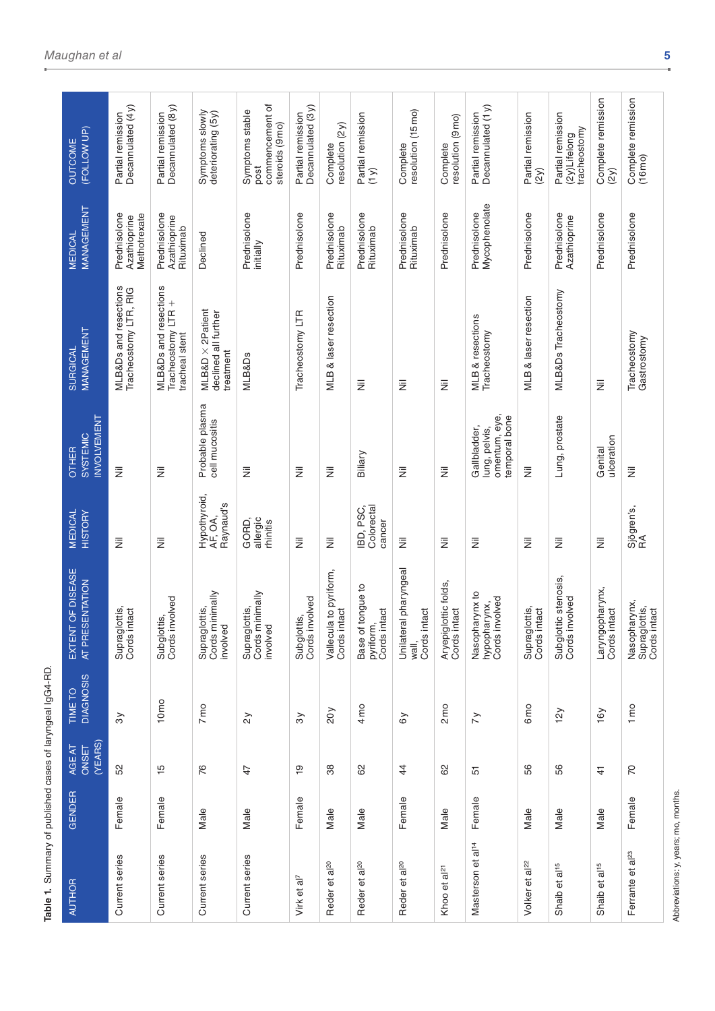| (FOLLOW UP)<br>OUTCOME                                | Decannulated (4y)<br>Partial remission         | Decannulated (8 y)<br>Partial remission                       | Symptoms slowly<br>deteriorating (5y)                         | commencement of<br>Symptoms stable<br>steroids (9mo)<br>post | Decannulated (3y)<br>Partial remission | resolution $(2y)$<br>Complete          | Partial remission<br>(1 y)                     | resolution (15 mo)<br>Complete                 | resolution (9 mo)<br>Complete       | Decannulated (1y)<br>Partial remission                          | Partial remission<br>(2y)     | Partial remission<br>tracheostomy<br>$(2y)$ Lifelong | Complete remission<br>(2y)      | Complete remission<br>(16 <sub>mo</sub> )     |
|-------------------------------------------------------|------------------------------------------------|---------------------------------------------------------------|---------------------------------------------------------------|--------------------------------------------------------------|----------------------------------------|----------------------------------------|------------------------------------------------|------------------------------------------------|-------------------------------------|-----------------------------------------------------------------|-------------------------------|------------------------------------------------------|---------------------------------|-----------------------------------------------|
| MANAGEMENT<br><b>MEDICAL</b>                          | Prednisolone<br>Methotrexate<br>Azathioprine   | Prednisolone<br>Azathioprine<br>Rituximab                     | Declined                                                      | Prednisolone<br>initially                                    | Prednisolone                           | Prednisolone<br>Rituximab              | Prednisolone<br>Rituximab                      | Prednisolone<br>Rituximab                      | Prednisolone                        | Mycophenolate<br>Prednisolone                                   | Prednisolone                  | Prednisolone<br>Azathioprine                         | Prednisolone                    | Prednisolone                                  |
| MANAGEMENT<br>SURGICAL                                | MLB&Ds and resections<br>Tracheostomy LTR, RIG | MLB&Ds and resections<br>Tracheostomy LTR +<br>tracheal stent | $MLB&D \times 2$ Patient<br>declined all further<br>treatment | MLB&Ds                                                       | Tracheostomy LTR                       | MLB & laser resection                  | Ξ                                              | Ξ                                              | W                                   | MLB & resections<br>Tracheostomy                                | MLB & laser resection         | MLB&Ds Tracheostomy                                  | 亖                               | Tracheostomy<br>Gastrostomy                   |
| <b>INVOLVEMENT</b><br><b>SYSTEMIC</b><br><b>OTHER</b> | 亖                                              | 亖                                                             | Probable plasma<br>cell mucositis                             | 亖                                                            | W                                      | 亖                                      | Biliary                                        | 亖                                              | W                                   | omentum, eye,<br>temporal bone<br>Gallbladder,<br>lung, pelvis, | Ξ                             | Lung, prostate                                       | ulceration<br>Genital           | W                                             |
| <b>MEDICAL</b><br><b>HISTORY</b>                      | $\bar{z}$                                      | $\bar{z}$                                                     | Hypothyroid,<br>Raynaud's<br>AF, OA,                          | allergic<br>GORD,<br>rhinitis                                | $\overline{\overline{z}}$              | $\bar{z}$                              | Colorectal<br>IBD, PSC,<br>cancer              | Ξ                                              | $\bar{z}$                           | $\bar{z}$                                                       | Ξ                             | Ξ                                                    | $\bar{z}$                       | Sjögren's,<br>RA                              |
| EXTENT OF DISEASE<br>AT PRESENTATION                  | Supraglottis,<br>Cords intact                  | Subglottis,<br>Cords involved                                 | Supraglottis,<br>Cords minimally<br>involved                  | Supraglottis,<br>Cords minimally<br>involved                 | Subglottis,<br>Cords involved          | Vallecula to pyriform,<br>Cords intact | Base of tongue to<br>pyriform,<br>Cords intact | Unilateral pharyngeal<br>wall,<br>Cords intact | glottic folds,<br>intact<br>Aryepig | Nasopharynx to<br>hypopharynx,<br>Cords involved                | Supraglottis,<br>Cords intact | Subglottic stenosis,<br>Cords involved               | Laryngopharynx,<br>Cords intact | Nasopharynx,<br>Supraglottis,<br>Cords intact |
| <b>DIAGNOSIS</b><br>TIME TO                           | $\mathcal{S}$                                  | 10 <sub>mo</sub>                                              | 7 <sub>mo</sub>                                               | $\gtrsim$                                                    | $\mathcal{S}$                          | 20y                                    | 4 mo                                           | $\delta y$                                     | $2 \text{ mo}$                      | $\tilde{z}$                                                     | 6 <sub>mo</sub>               | 12y                                                  | 16y                             | $1 \text{ mo}$                                |
| (YEARS)<br>AGE AT<br>ONSET                            | 52                                             | $\frac{15}{2}$                                                | 76                                                            | 47                                                           | $\overline{9}$                         | 38                                     | 8                                              | $\overline{4}$                                 | 8                                   | 57                                                              | 56                            | 56                                                   | $\ddot{+}$                      | <b>P</b>                                      |
| <b>GENDER</b>                                         | Female                                         | Female                                                        | Male                                                          | Male                                                         | Female                                 | Male                                   | Male                                           | Female                                         | Male                                | Female                                                          | Male                          | Male                                                 | Male                            | Female                                        |
| <b>AUTHOR</b>                                         | Current series                                 | Current series                                                | Current series                                                | Current series                                               | Virk et al <sup>7</sup>                | Reder et al <sup>20</sup>              | Reder et al <sup>20</sup>                      | Reder et al <sup>20</sup>                      | Khoo et al <sup>21</sup>            | Masterson et al <sup>14</sup>                                   | Volker et al <sup>22</sup>    | Shaib et al <sup>15</sup>                            | Shaib et al <sup>15</sup>       | Ferrante et al <sup>23</sup>                  |

**Table 1.** Summary of published cases of laryngeal IgG4-RD.

Table 1. Summary of published cases of laryngeal IgG4-RD.